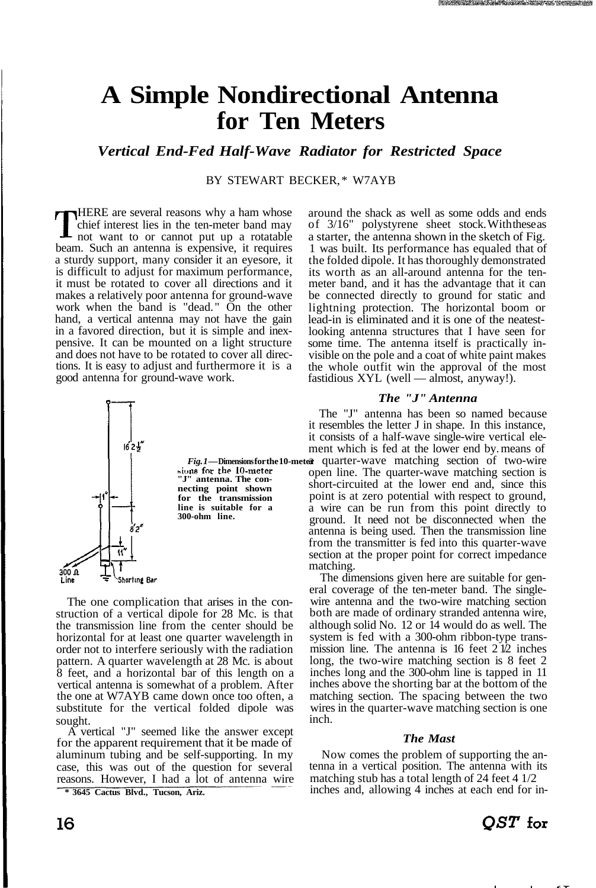# **A Simple Nondirectional Antenna for Ten Meters**

*Vertical End-Fed Half-Wave Radiator for Restricted Space*

BY STEWART BECKER, \* W7AYB

THERE are several reasons why a ham whose<br>chief interest lies in the ten-meter band may<br>not want to or cannot put up a rotatable HERE are several reasons why a ham whose chief interest lies in the ten-meter band may beam. Such an antenna is expensive, it requires a sturdy support, many consider it an eyesore, it is difficult to adjust for maximum performance, it must be rotated to cover all directions and it makes a relatively poor antenna for ground-wave work when the band is "dead." On the other hand, a vertical antenna may not have the gain in a favored direction, but it is simple and inexpensive. It can be mounted on a light structure and does not have to be rotated to cover all directions. It is easy to adjust and furthermore it is a good antenna for ground-wave work.



The one complication that arises in the construction of a vertical dipole for 28 Mc. is that the transmission line from the center should be horizontal for at least one quarter wavelength in order not to interfere seriously with the radiation pattern. A quarter wavelength at 28 Mc. is about 8 feet, and a horizontal bar of this length on a vertical antenna is somewhat of a problem. After the one at W7AYB came down once too often, a substitute for the vertical folded dipole was sought.

A vertical "J" seemed like the answer except for the apparent requirement that it be made of aluminum tubing and be self-supporting. In my case, this was out of the question for several reasons. However, I had a lot of antenna wire

**\* 3645 Cactus Blvd., Tucson, Ariz.**

around the shack as well as some odds and ends of  $3/16$ " polystyrene sheet stock. With these as a starter, the antenna shown in the sketch of Fig. 1 was built. Its performance has equaled that of the folded dipole. It has thoroughly demonstrated its worth as an all-around antenna for the tenmeter band, and it has the advantage that it can be connected directly to ground for static and lightning protection. The horizontal boom or lead-in is eliminated and it is one of the neatestlooking antenna structures that I have seen for some time. The antenna itself is practically invisible on the pole and a coat of white paint makes the whole outfit win the approval of the most fastidious XYL (well — almost, anyway!).

### *The "J" Antenna*

The "J" antenna has been so named because it resembles the letter J in shape. In this instance, it consists of a half-wave single-wire vertical element which is fed at the lower end by. means of Fig. 1—Dimensions for the 10-meter quarter-wave matching section of two-wire open line. The quarter-wave matching section is short-circuited at the lower end and, since this point is at zero potential with respect to ground, a wire can be run from this point directly to ground. It need not be disconnected when the antenna is being used. Then the transmission line from the transmitter is fed into this quarter-wave section at the proper point for correct impedance matching.

The dimensions given here are suitable for general coverage of the ten-meter band. The singlewire antenna and the two-wire matching section both are made of ordinary stranded antenna wire, although solid No. 12 or 14 would do as well. The system is fed with a 300-ohm ribbon-type transmission line. The antenna is  $16$  feet  $212$  inches long, the two-wire matching section is 8 feet 2 inches long and the 300-ohm line is tapped in 11 inches above the shorting bar at the bottom of the matching section. The spacing between the two wires in the quarter-wave matching section is one inch.

#### *The Mast*

Now comes the problem of supporting the antenna in a vertical position. The antenna with its matching stub has a total length of 24 feet 4 1/2 inches and, allowing 4 inches at each end for in-

### $OST$  for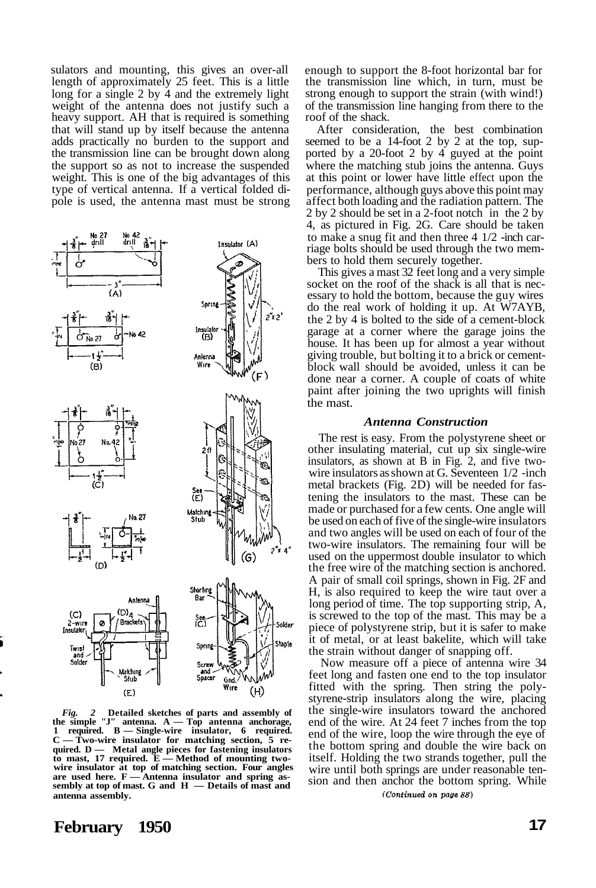sulators and mounting, this gives an over-all length of approximately 25 feet. This is a little long for a single 2 by 4 and the extremely light weight of the antenna does not justify such a heavy support. AH that is required is something that will stand up by itself because the antenna adds practically no burden to the support and the transmission line can be brought down along the support so as not to increase the suspended weight. This is one of the big advantages of this type of vertical antenna. If a vertical folded dipole is used, the antenna mast must be strong



*Fig. 2* **Detailed sketches of parts and assembly of the simple "J" antenna. A — Top antenna anchorage, 1 required. B — Single-wire insulator, 6 required. C — Two-wire insulator for matching section, 5 required. D — Metal angle pieces for fastening insulators Method of mounting twowire insulator at top of matching section. Four angles are used here. F — Antenna insulator and spring assembly at top of mast. G and H — Details of mast and antenna assembly.**

enough to support the 8-foot horizontal bar for the transmission line which, in turn, must be strong enough to support the strain (with wind!) of the transmission line hanging from there to the roof of the shack.

After consideration, the best combination seemed to be a 14-foot 2 by 2 at the top, supported by a 20-foot 2 by 4 guyed at the point where the matching stub joins the antenna. Guys at this point or lower have little effect upon the performance, although guys above this point may affect both loading and the radiation pattern. The 2 by 2 should be set in a 2-foot notch in the 2 by 4, as pictured in Fig. 2G. Care should be taken to make a snug fit and then three 4 1/2 -inch carriage bolts should be used through the two members to hold them securely together.

This gives a mast 32 feet long and a very simple socket on the roof of the shack is all that is necessary to hold the bottom, because the guy wires do the real work of holding it up. At W7AYB, the 2 by 4 is bolted to the side of a cement-block garage at a corner where the garage joins the house. It has been up for almost a year without giving trouble, but bolting it to a brick or cementblock wall should be avoided, unless it can be done near a corner. A couple of coats of white paint after joining the two uprights will finish the mast.

#### *Antenna Construction*

The rest is easy. From the polystyrene sheet or other insulating material, cut up six single-wire insulators, as shown at B in Fig. 2, and five twowire insulators as shown at G. Seventeen 1/2 -inch metal brackets (Fig. 2D) will be needed for fastening the insulators to the mast. These can be made or purchased for a few cents. One angle will be used on each of five of the single-wire insulators and two angles will be used on each of four of the two-wire insulators. The remaining four will be used on the uppermost double insulator to which the free wire of the matching section is anchored. A pair of small coil springs, shown in Fig. 2F and H, is also required to keep the wire taut over a long period of time. The top supporting strip, A, is screwed to the top of the mast. This may be a piece of polystyrene strip, but it is safer to make it of metal, or at least bakelite, which will take the strain without danger of snapping off.

Now measure off a piece of antenna wire 34 feet long and fasten one end to the top insulator fitted with the spring. Then string the polystyrene-strip insulators along the wire, placing the single-wire insulators toward the anchored end of the wire. At 24 feet 7 inches from the top end of the wire, loop the wire through the eye of the bottom spring and double the wire back on itself. Holding the two strands together, pull the wire until both springs are under reasonable tension and then anchor the bottom spring. While (Continued on page 88)

## **February 1950 17**